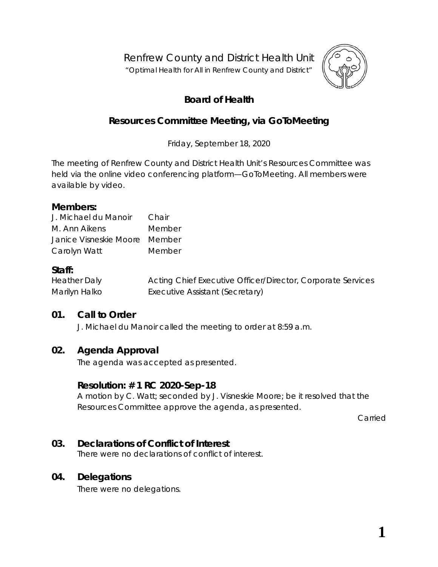Renfrew County and District Health Unit

"*Optimal Health for All in Renfrew County and District"*



# **Board of Health**

# **Resources Committee Meeting, via** *GoToMeeting*

Friday, September 18, 2020

The meeting of Renfrew County and District Health Unit's Resources Committee was held via the online video conferencing platform—*GoToMeeting*. All members were available by video.

### **Members:**

| J. Michael du Manoir          | Chair  |
|-------------------------------|--------|
| M. Ann Aikens                 | Member |
| Janice Visneskie Moore Member |        |
| Carolyn Watt                  | Member |

# **Staff:**

| <b>Heather Daly</b> | Acting Chief Executive Officer/Director, Corporate Services |
|---------------------|-------------------------------------------------------------|
| Marilyn Halko       | Executive Assistant (Secretary)                             |

# **01. Call to Order**

J. Michael du Manoir called the meeting to order at 8:59 a.m.

# **02. Agenda Approval**

The agenda was accepted as presented.

### **Resolution: # 1 RC 2020-Sep-18**

A motion by C. Watt; seconded by J. Visneskie Moore; be it resolved that the Resources Committee approve the agenda, as presented.

Carried

# **03. Declarations of Conflict of Interest**

There were no declarations of conflict of interest.

### **04. Delegations**

There were no delegations.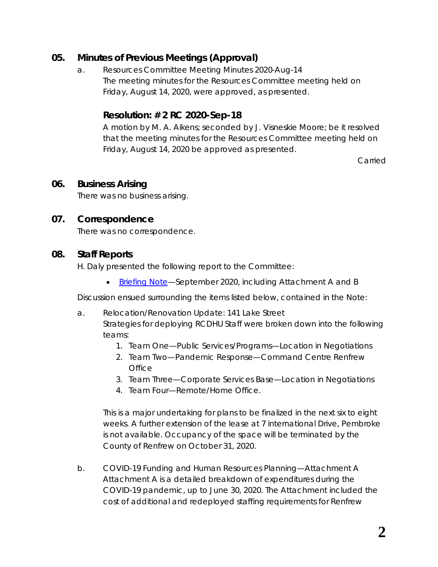# **05. Minutes of Previous Meetings (Approval)**

a. Resources Committee Meeting Minutes 2020-Aug-14 The meeting minutes for the Resources Committee meeting held on Friday, August 14, 2020, were approved, as presented.

# **Resolution: # 2 RC 2020-Sep-18**

A motion by M. A. Aikens; seconded by J. Visneskie Moore; be it resolved that the meeting minutes for the Resources Committee meeting held on Friday, August 14, 2020 be approved as presented.

Carried

# **06. Business Arising**

There was no business arising.

# **07. Correspondence**

There was no correspondence.

### **08. Staff Reports**

H. Daly presented the following report to the Committee:

• [Briefing Note—](https://www.rcdhu.com/wp-content/uploads/2020/12/Briefing-Note-Sep-2020-for-posting.pdf)September 2020, including Attachment A and B

Discussion ensued surrounding the items listed below, contained in the *Note*:

- a. Relocation/Renovation Update: 141 Lake Street Strategies for deploying RCDHU Staff were broken down into the following teams:
	- 1. Team One—Public Services/Programs—Location in Negotiations
	- 2. Team Two—Pandemic Response—Command Centre Renfrew **Office**
	- 3. Team Three—Corporate Services Base—Location in Negotiations
	- 4. Team Four—Remote/Home Office.

This is a major undertaking for plans to be finalized in the next six to eight weeks. A further extension of the lease at 7 international Drive, Pembroke is not available. Occupancy of the space will be terminated by the County of Renfrew on October 31, 2020.

b. COVID-19 Funding and Human Resources Planning—Attachment A *Attachment A* is a detailed breakdown of expenditures during the COVID-19 pandemic, up to June 30, 2020. The *Attachment* included the cost of additional and redeployed staffing requirements for Renfrew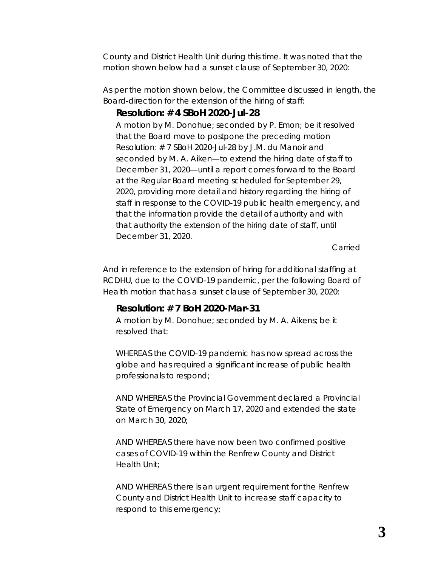County and District Health Unit during this time. It was noted that the motion shown below had a sunset clause of September 30, 2020:

As per the motion shown below, the Committee discussed in length, the Board-direction for the extension of the hiring of staff:

# *Resolution: # 4 SBoH 2020-Jul-28*

*A motion by M. Donohue; seconded by P. Emon; be it resolved that the Board move to postpone the preceding motion Resolution: # 7 SBoH 2020-Jul-28 by J.M. du Manoir and seconded by M. A. Aiken—to extend the hiring date of staff to December 31, 2020—until a report comes forward to the Board at the Regular Board meeting scheduled for September 29, 2020, providing more detail and history regarding the hiring of staff in response to the COVID-19 public health emergency, and that the information provide the detail of authority and with that authority the extension of the hiring date of staff, until December 31, 2020.* 

*Carried*

And in reference to the extension of hiring for additional staffing at RCDHU, due to the COVID-19 pandemic, per the following Board of Health motion that has a sunset clause of September 30, 2020:

# *Resolution: # 7 BoH 2020-Mar-31*

*A motion by M. Donohue; seconded by M. A. Aikens; be it resolved that:* 

*WHEREAS the COVID-19 pandemic has now spread across the globe and has required a significant increase of public health professionals to respond;* 

*AND WHEREAS the Provincial Government declared a Provincial State of Emergency on March 17, 2020 and extended the state on March 30, 2020;* 

*AND WHEREAS there have now been two confirmed positive cases of COVID-19 within the Renfrew County and District Health Unit;* 

*AND WHEREAS there is an urgent requirement for the Renfrew County and District Health Unit to increase staff capacity to respond to this emergency;*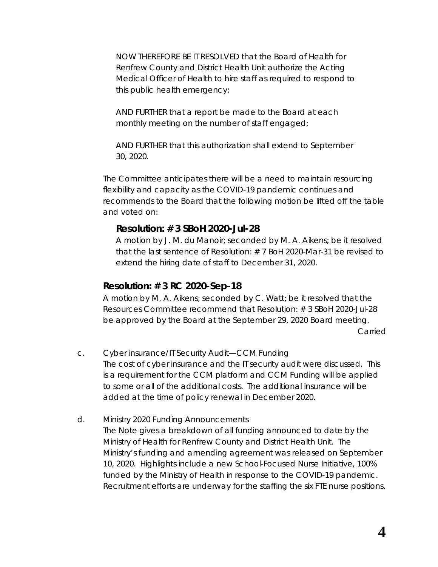*NOW THEREFORE BE IT RESOLVED that the Board of Health for Renfrew County and District Health Unit authorize the Acting Medical Officer of Health to hire staff as required to respond to this public health emergency;* 

*AND FURTHER that a report be made to the Board at each monthly meeting on the number of staff engaged;* 

*AND FURTHER that this authorization shall extend to September 30, 2020.* 

The Committee anticipates there will be a need to maintain resourcing flexibility and capacity as the COVID-19 pandemic continues and recommends to the Board that the following motion be lifted off the table and voted on:

#### *Resolution: # 3 SBoH 2020-Jul-28*

*A motion by J. M. du Manoir; seconded by M. A. Aikens; be it resolved that the last sentence of Resolution: # 7 BoH 2020-Mar-31 be revised to extend the hiring date of staff to December 31, 2020.*

#### *Resolution: # 3 RC 2020-Sep-18*

A motion by M. A. Aikens; seconded by C. Watt; be it resolved that the Resources Committee recommend that Resolution: # 3 SBoH 2020-Jul-28 be approved by the Board at the September 29, 2020 Board meeting. Carried

c. Cyber insurance/IT Security Audit—CCM Funding The cost of cyber insurance and the IT security audit were discussed. This is a requirement for the CCM platform and CCM Funding will be applied to some or all of the additional costs. The additional insurance will be added at the time of policy renewal in December 2020.

d. Ministry 2020 Funding Announcements The *Note* gives a breakdown of all funding announced to date by the Ministry of Health for Renfrew County and District Health Unit. The Ministry's funding and amending agreement was released on September 10, 2020. Highlights include a new School-Focused Nurse Initiative, 100% funded by the Ministry of Health in response to the COVID-19 pandemic. Recruitment efforts are underway for the staffing the six FTE nurse positions.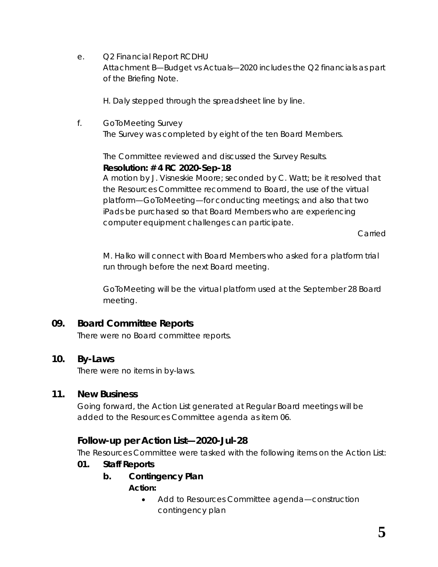e. Q2 Financial Report RCDHU

Attachment B—Budget vs Actuals—2020 includes the Q2 financials as part of the Briefing Note.

H. Daly stepped through the spreadsheet line by line.

f. *GoToMeeting* Survey The Survey was completed by eight of the ten Board Members.

The Committee reviewed and discussed the *Survey Results*.

#### **Resolution: # 4 RC 2020-Sep-18**

A motion by J. Visneskie Moore; seconded by C. Watt; be it resolved that the Resources Committee recommend to Board, the use of the virtual platform—*GoToMeeting*—for conducting meetings; and also that two iPads be purchased so that Board Members who are experiencing computer equipment challenges can participate.

Carried

M. Halko will connect with Board Members who asked for a platform trial run through before the next Board meeting.

*GoToMeeting* will be the virtual platform used at the September 28 Board meeting.

# **09. Board Committee Reports**

There were no Board committee reports.

# **10. By-Laws**

There were no items in by-laws.

# **11. New Business**

Going forward, the *Action List* generated at Regular Board meetings will be added to the Resources Committee agenda as item 06.

# **Follow-up per Action List—2020-Jul-28**

The Resources Committee were tasked with the following items on the Action List:

- *01. Staff Reports*
	- *b. Contingency Plan Action:*
		- *Add to Resources Committee agenda—construction contingency plan*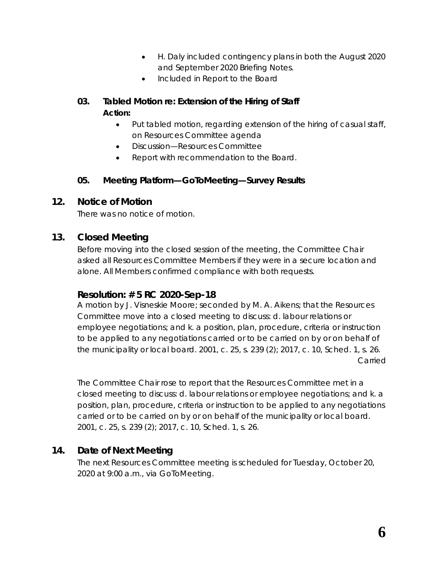- *H. Daly included contingency plans in both the August 2020 and September 2020 Briefing Notes.*
- *Included in Report to the Board*
- *03. Tabled Motion re: Extension of the Hiring of Staff Action:*
	- *Put tabled motion, regarding extension of the hiring of casual staff, on Resources Committee agenda*
	- *Discussion—Resources Committee*
	- *Report with recommendation to the Board.*

### *05. Meeting Platform—GoToMeeting—Survey Results*

### **12. Notice of Motion**

There was no notice of motion.

### **13. Closed Meeting**

Before moving into the closed session of the meeting, the Committee Chair asked all Resources Committee Members if they were in a secure location and alone. All Members confirmed compliance with both requests.

### **Resolution: # 5 RC 2020-Sep-18**

A motion by J. Visneskie Moore; seconded by M. A. Aikens; that the Resources Committee move into a closed meeting to discuss: d. labour relations or employee negotiations; and k. a position, plan, procedure, criteria or instruction to be applied to any negotiations carried or to be carried on by or on behalf of the municipality or local board. 2001, c. 25, s. 239 (2); 2017, c. 10, Sched. 1, s. 26. Carried

The Committee Chair rose to report that the Resources Committee met in a closed meeting to discuss: d. labour relations or employee negotiations; and k. a position, plan, procedure, criteria or instruction to be applied to any negotiations carried or to be carried on by or on behalf of the municipality or local board. 2001, c. 25, s. 239 (2); 2017, c. 10, Sched. 1, s. 26.

# **14. Date of Next Meeting**

The next Resources Committee meeting is scheduled for Tuesday, October 20, 2020 at 9:00 a.m., via *GoToMeeting*.